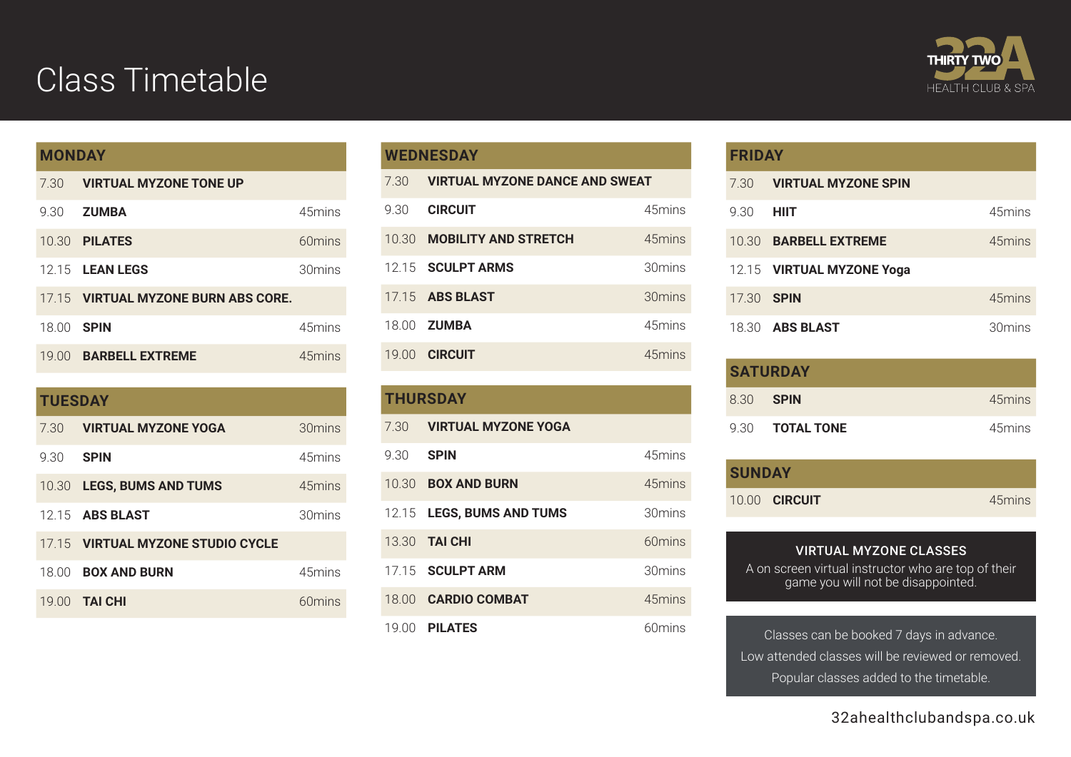## Class Timetable



## **MONDAY**

| 7.30       | <b>VIRTUAL MYZONE TONE UP</b>       |                  |
|------------|-------------------------------------|------------------|
| 9.30       | <b>ZUMBA</b>                        | 45mins           |
|            | 10.30 <b>PILATES</b>                | $60 \text{mins}$ |
|            | 12.15 <b>LEAN LEGS</b>              | 30mins           |
|            | 17.15 VIRTUAL MYZONE BURN ABS CORE. |                  |
| 18.00 SPIN |                                     | 45mins           |
| 19.00      | <b>BARBELL EXTREME</b>              | 45mins           |

| <b>TUESDAY</b> |                                   |        |
|----------------|-----------------------------------|--------|
| 7.30           | <b>VIRTUAL MYZONE YOGA</b>        | 30mins |
| 9.30           | <b>SPIN</b>                       | 45mins |
| 10.30          | <b>LEGS, BUMS AND TUMS</b>        | 45mins |
|                | 12.15 <b>ABS BLAST</b>            | 30mins |
|                | 17.15 VIRTUAL MYZONE STUDIO CYCLE |        |
| 18.00          | <b>BOX AND BURN</b>               | 45mins |
| 19(0)          | <b>TAI CHI</b>                    | 60mins |

## **WEDNESDAY**

| 7.30  | <b>VIRTUAL MYZONE DANCE AND SWEAT</b> |         |
|-------|---------------------------------------|---------|
| 9.30  | <b>CIRCUIT</b>                        | 45mins  |
|       | 10.30 MOBILITY AND STRETCH            | 45mins  |
|       | 12.15 <b>SCULPT ARMS</b>              | 30mins  |
|       | 17.15 <b>ABS BLAST</b>                | 30 mins |
|       | 18.00 <b>ZUMBA</b>                    | 45mins  |
| 19.00 | <b>CIRCUIT</b>                        | 45mins  |

| <b>THURSDAY</b> |                            |        |
|-----------------|----------------------------|--------|
| 7.30            | <b>VIRTUAL MYZONE YOGA</b> |        |
| 9.30            | <b>SPIN</b>                | 45mins |
|                 | 10.30 <b>BOX AND BURN</b>  | 45mins |
|                 | 12.15 LEGS, BUMS AND TUMS  | 30mins |
|                 | 13.30 <b>TAI CHI</b>       | 60mins |
|                 | 17.15 <b>SCULPT ARM</b>    | 30mins |
|                 | 18.00 <b>CARDIO COMBAT</b> | 45mins |
|                 | 19.00 <b>PILATES</b>       | 60mins |

#### **FRIDAY**

| 7.30              | <b>VIRTUAL MYZONE SPIN</b> |        |
|-------------------|----------------------------|--------|
| 9.30              | <b>HIIT</b>                | 45mins |
| 10.30             | <b>BARBELL EXTREME</b>     | 45mins |
|                   | 12.15 VIRTUAL MYZONE Yoga  |        |
| 17.30 <b>SPIN</b> |                            | 45mins |
|                   | 18.30 <b>ABS BLAST</b>     | 30mins |

| <b>SATURDAY</b>  |                        |        |
|------------------|------------------------|--------|
| 8.30 <b>SPIN</b> |                        | 45mins |
|                  | 9.30 <b>TOTAL TONE</b> | 45mins |

| <b>SUNDAY</b> |                      |        |
|---------------|----------------------|--------|
|               | 10.00 <b>CIRCUIT</b> | 45mins |

VIRTUAL MYZONE CLASSES A on screen virtual instructor who are top of their game you will not be disappointed.

Classes can be booked 7 days in advance. Low attended classes will be reviewed or removed. Popular classes added to the timetable.